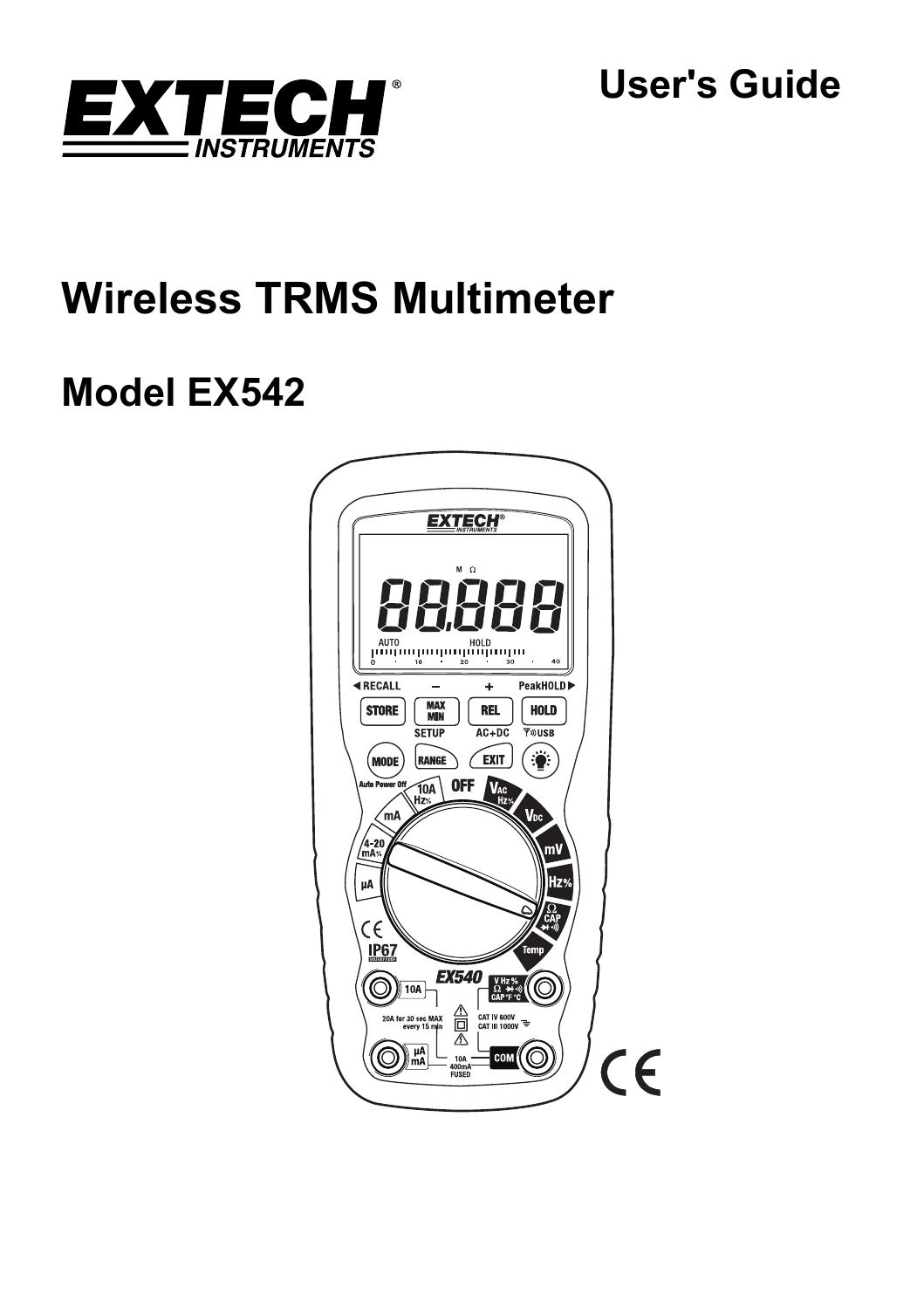

**User's Guide** 

# **Wireless TRMS Multimeter**

# **Model EX542**

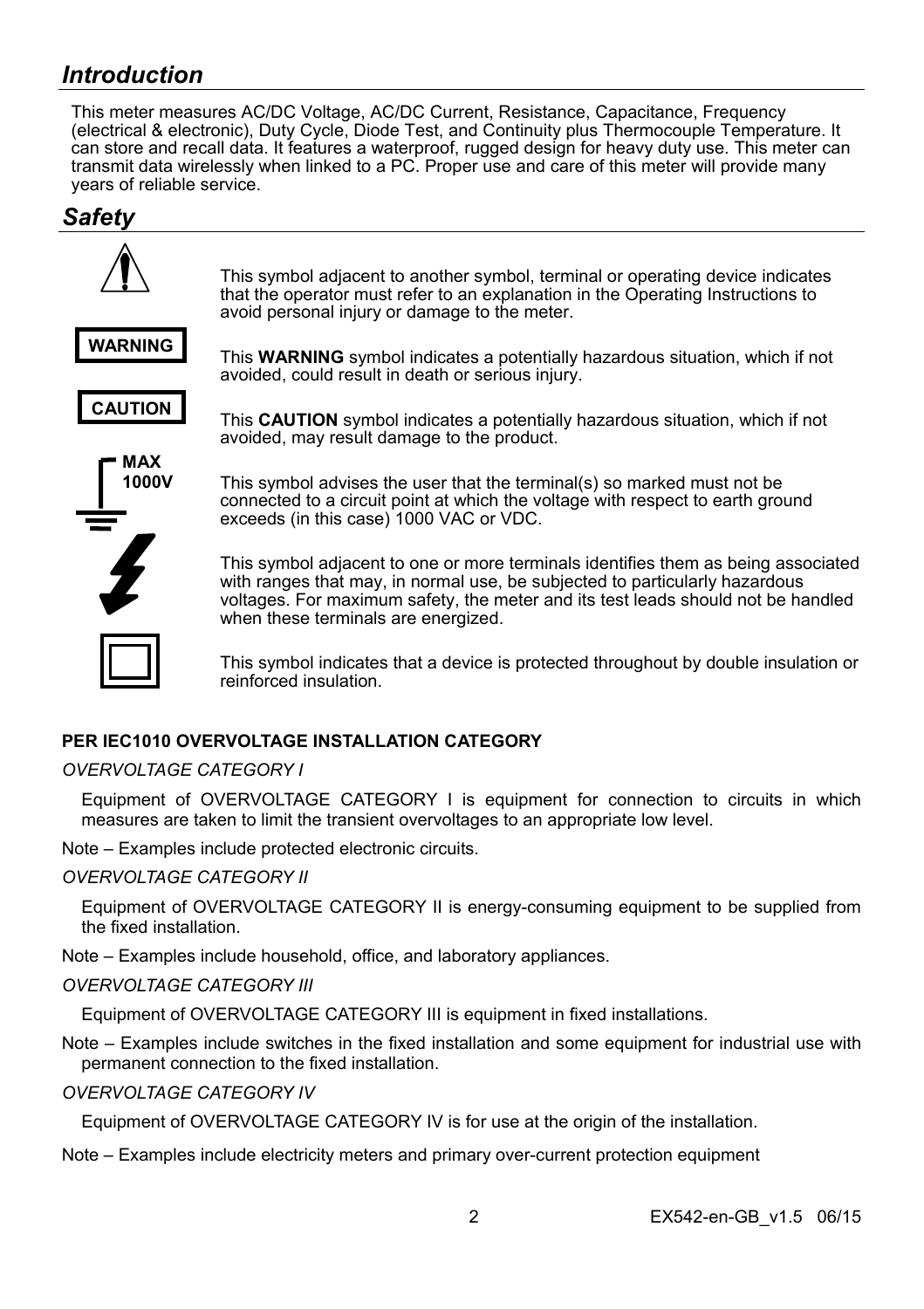# *Introduction*

This meter measures AC/DC Voltage, AC/DC Current, Resistance, Capacitance, Frequency (electrical & electronic), Duty Cycle, Diode Test, and Continuity plus Thermocouple Temperature. It can store and recall data. It features a waterproof, rugged design for heavy duty use. This meter can transmit data wirelessly when linked to a PC. Proper use and care of this meter will provide many years of reliable service.

## *Safety*



#### **PER IFC1010 OVERVOLTAGE INSTALLATION CATEGORY**

#### *OVERVOLTAGE CATEGORY I*

Equipment of OVERVOLTAGE CATEGORY I is equipment for connection to circuits in which measures are taken to limit the transient overvoltages to an appropriate low level.

Note – Examples include protected electronic circuits.

#### *OVERVOLTAGE CATEGORY II*

Equipment of OVERVOLTAGE CATEGORY II is energy-consuming equipment to be supplied from the fixed installation.

Note – Examples include household, office, and laboratory appliances.

#### *OVERVOLTAGE CATEGORY III*

Equipment of OVERVOLTAGE CATEGORY III is equipment in fixed installations.

Note – Examples include switches in the fixed installation and some equipment for industrial use with permanent connection to the fixed installation.

*OVERVOLTAGE CATEGORY IV* 

Equipment of OVERVOLTAGE CATEGORY IV is for use at the origin of the installation.

Note – Examples include electricity meters and primary over-current protection equipment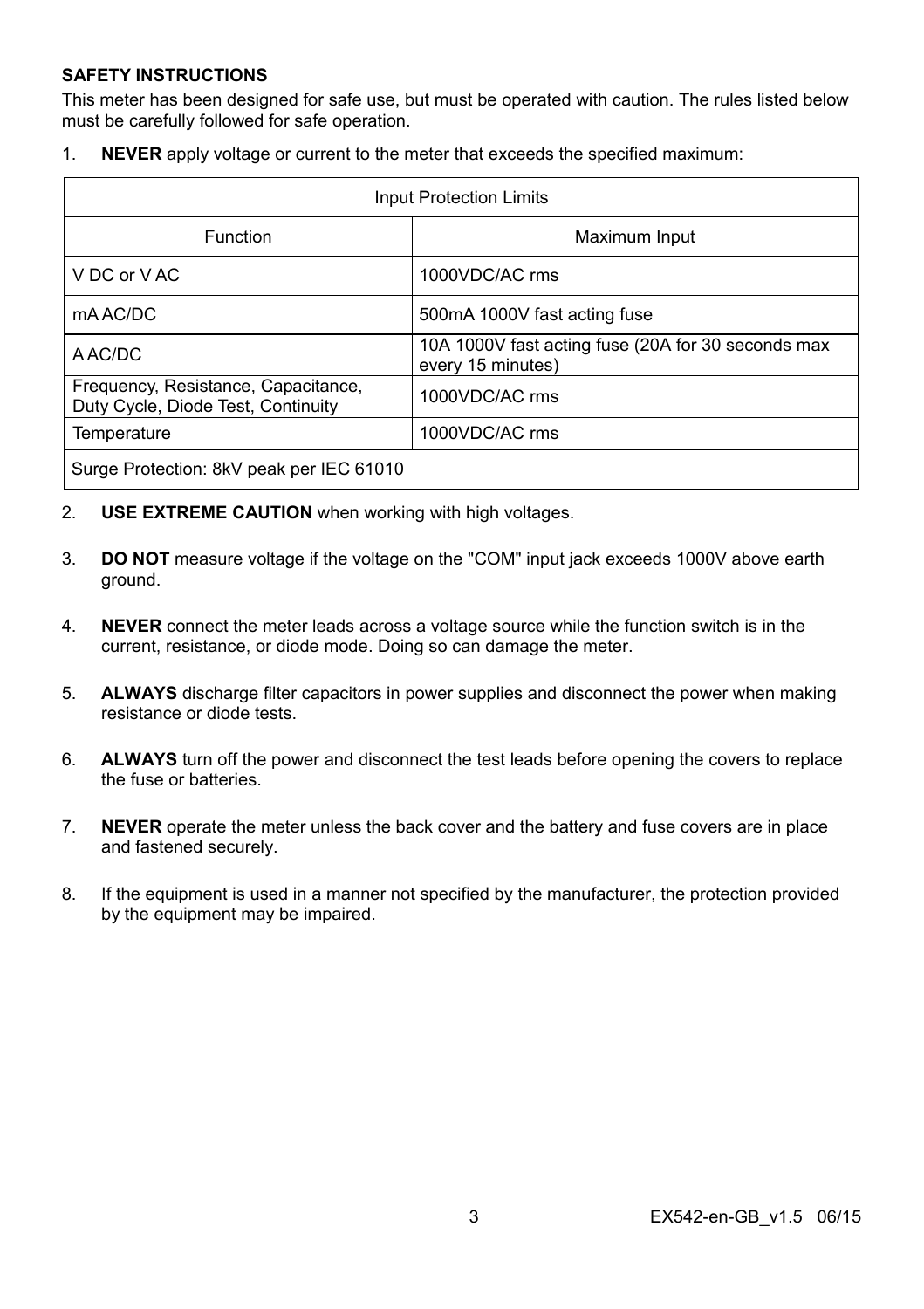#### **SAFETY INSTRUCTIONS**

This meter has been designed for safe use, but must be operated with caution. The rules listed below must be carefully followed for safe operation.

1. **NEVER** apply voltage or current to the meter that exceeds the specified maximum:

| <b>Input Protection Limits</b>                                            |                                                                         |  |
|---------------------------------------------------------------------------|-------------------------------------------------------------------------|--|
| Function                                                                  | Maximum Input                                                           |  |
| V DC or V AC                                                              | 1000VDC/AC rms                                                          |  |
| mA AC/DC                                                                  | 500mA 1000V fast acting fuse                                            |  |
| A AC/DC                                                                   | 10A 1000V fast acting fuse (20A for 30 seconds max<br>every 15 minutes) |  |
| Frequency, Resistance, Capacitance,<br>Duty Cycle, Diode Test, Continuity | 1000VDC/AC rms                                                          |  |
| Temperature                                                               | 1000VDC/AC rms                                                          |  |
| Surge Protection: 8kV peak per IEC 61010                                  |                                                                         |  |

- 2. **USE EXTREME CAUTION** when working with high voltages.
- 3. **DO NOT** measure voltage if the voltage on the "COM" input jack exceeds 1000V above earth ground.
- 4. **NEVER** connect the meter leads across a voltage source while the function switch is in the current, resistance, or diode mode. Doing so can damage the meter.
- 5. **ALWAYS** discharge filter capacitors in power supplies and disconnect the power when making resistance or diode tests.
- 6. **ALWAYS** turn off the power and disconnect the test leads before opening the covers to replace the fuse or batteries.
- 7. **NEVER** operate the meter unless the back cover and the battery and fuse covers are in place and fastened securely.
- 8. If the equipment is used in a manner not specified by the manufacturer, the protection provided by the equipment may be impaired.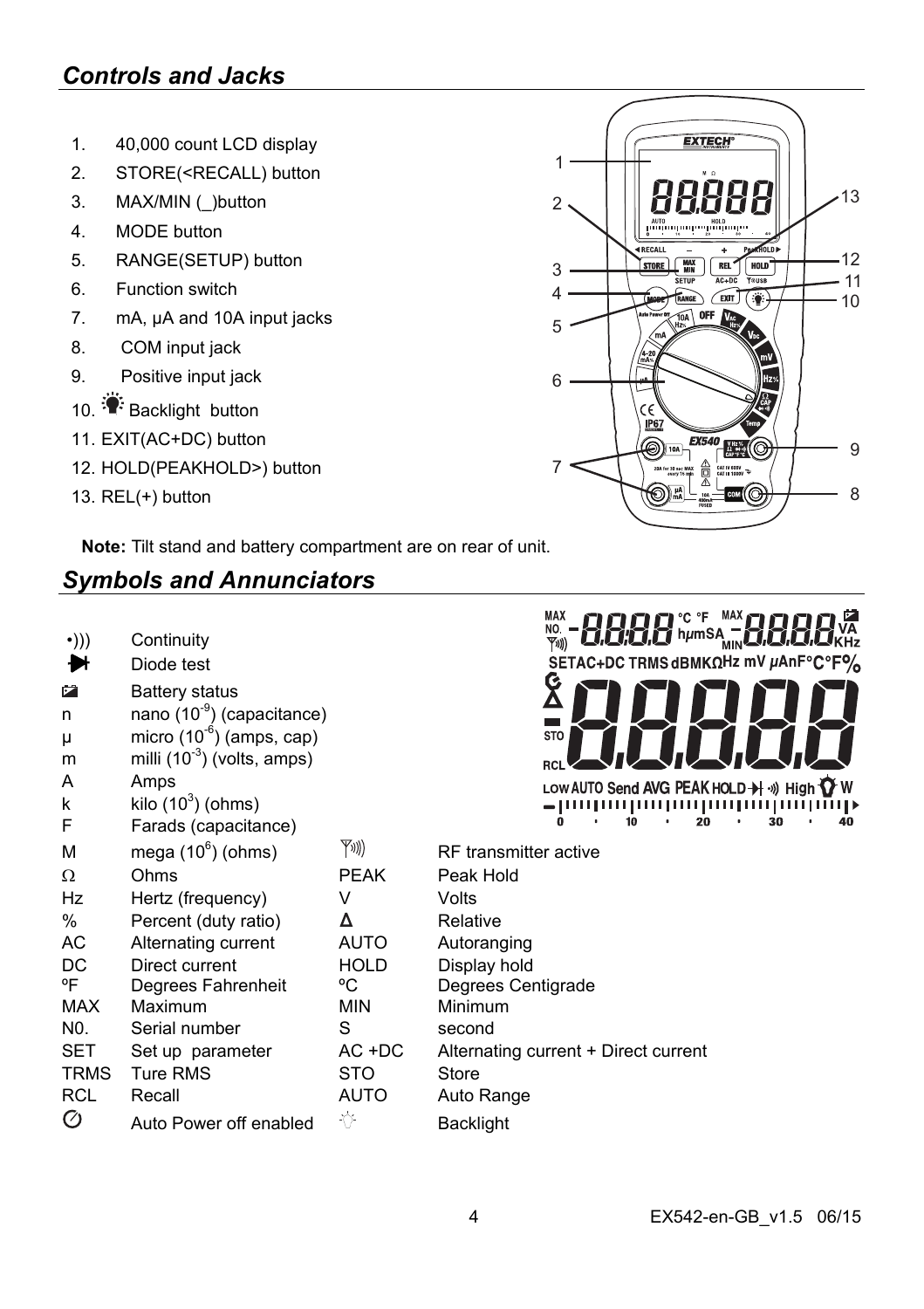# *Controls and Jacks*

- 1. 40,000 count LCD display
- 2. STORE(<RECALL) button
- 3. MAX/MIN ( )button
- 4. MODE button
- 5. RANGE(SETUP) button
- 6. Function switch
- 7. mA, µA and 10A input jacks
- 8. COM input jack
- 9. Positive input jack
- 10. **Backlight button**
- 11. EXIT(AC+DC) button
- 12. HOLD(PEAKHOLD>) button
- 13. REL(+) button

**Note:** Tilt stand and battery compartment are on rear of unit.

# *Symbols and Annunciators*

| $\cdot$ ))) | Continuity |
|-------------|------------|
|             |            |

- Diode test ₩
- **Battery status**
- n nano (10<sup>-9</sup>) (capacitance)
- $\mu$  micro (10<sup>-6</sup>) (amps, cap)
- m milli  $(10^{-3})$  (volts, amps)
- A Amps
- k kilo  $(10^3)$  (ohms)
- F Farads (capacitance)



| м    | mega $(10^6)$ (ohms)   | (((KY       | <b>RF</b> transmitter active         |
|------|------------------------|-------------|--------------------------------------|
| Ω    | Ohms                   | <b>PEAK</b> | Peak Hold                            |
| Hz   | Hertz (frequency)      | V           | Volts                                |
| ℅    | Percent (duty ratio)   | Δ           | Relative                             |
| AС   | Alternating current    | <b>AUTO</b> | Autoranging                          |
| DC   | Direct current         | <b>HOLD</b> | Display hold                         |
| ٥F   | Degrees Fahrenheit     | °C          | Degrees Centigrade                   |
| MAX  | Maximum                | <b>MIN</b>  | Minimum                              |
| N0.  | Serial number          | S           | second                               |
| SET  | Set up parameter       | $AC +DC$    | Alternating current + Direct current |
| TRMS | Ture RMS               | <b>STO</b>  | Store                                |
| RCL  | Recall                 | <b>AUTO</b> | Auto Range                           |
| Ø    | Auto Power off enabled | -Ŷ          | <b>Backlight</b>                     |
|      |                        |             |                                      |

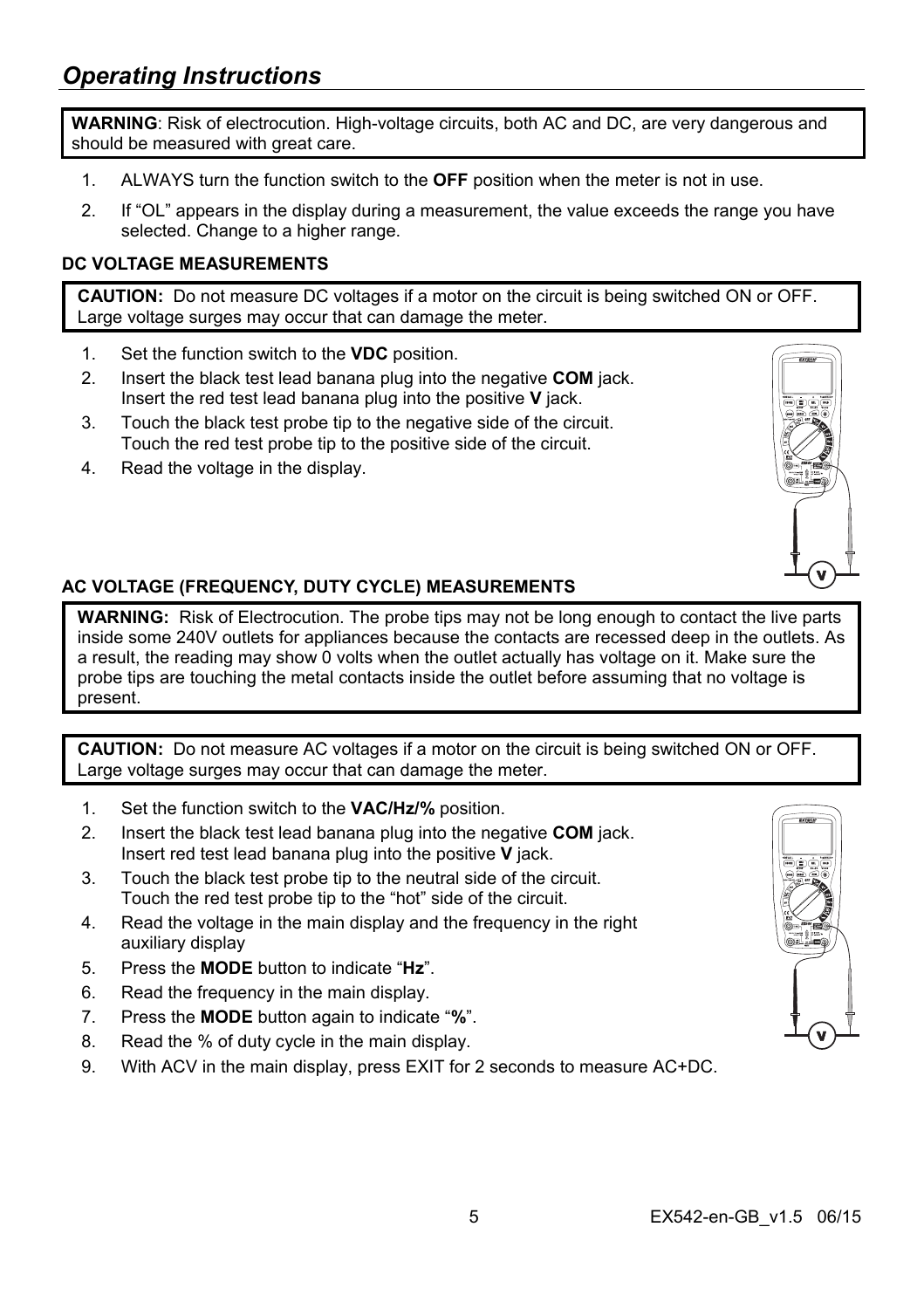**WARNING**: Risk of electrocution. High-voltage circuits, both AC and DC, are very dangerous and should be measured with great care.

- 1. ALWAYS turn the function switch to the **OFF** position when the meter is not in use.
- 2. If "OL" appears in the display during a measurement, the value exceeds the range you have selected. Change to a higher range.

### **DC VOLTAGE MEASUREMENTS**

**CAUTION:** Do not measure DC voltages if a motor on the circuit is being switched ON or OFF. Large voltage surges may occur that can damage the meter.

- 1. Set the function switch to the **VDC** position.
- 2. Insert the black test lead banana plug into the negative **COM** jack. Insert the red test lead banana plug into the positive **V** jack.
- 3. Touch the black test probe tip to the negative side of the circuit. Touch the red test probe tip to the positive side of the circuit.
- 4. Read the voltage in the display.



## **AC VOLTAGE (FREQUENCY, DUTY CYCLE) MEASUREMENTS**

**WARNING:** Risk of Electrocution. The probe tips may not be long enough to contact the live parts inside some 240V outlets for appliances because the contacts are recessed deep in the outlets. As a result, the reading may show 0 volts when the outlet actually has voltage on it. Make sure the probe tips are touching the metal contacts inside the outlet before assuming that no voltage is present.

**CAUTION:** Do not measure AC voltages if a motor on the circuit is being switched ON or OFF. Large voltage surges may occur that can damage the meter.

- 1. Set the function switch to the **VAC/Hz/%** position.
- 2. Insert the black test lead banana plug into the negative **COM** jack. Insert red test lead banana plug into the positive **V** jack.
- 3. Touch the black test probe tip to the neutral side of the circuit. Touch the red test probe tip to the "hot" side of the circuit.
- 4. Read the voltage in the main display and the frequency in the right auxiliary display
- 5. Press the **MODE** button to indicate "**Hz**".
- 6. Read the frequency in the main display.
- 7. Press the **MODE** button again to indicate "**%**".
- 8. Read the % of duty cycle in the main display.
- 9. With ACV in the main display, press EXIT for 2 seconds to measure AC+DC.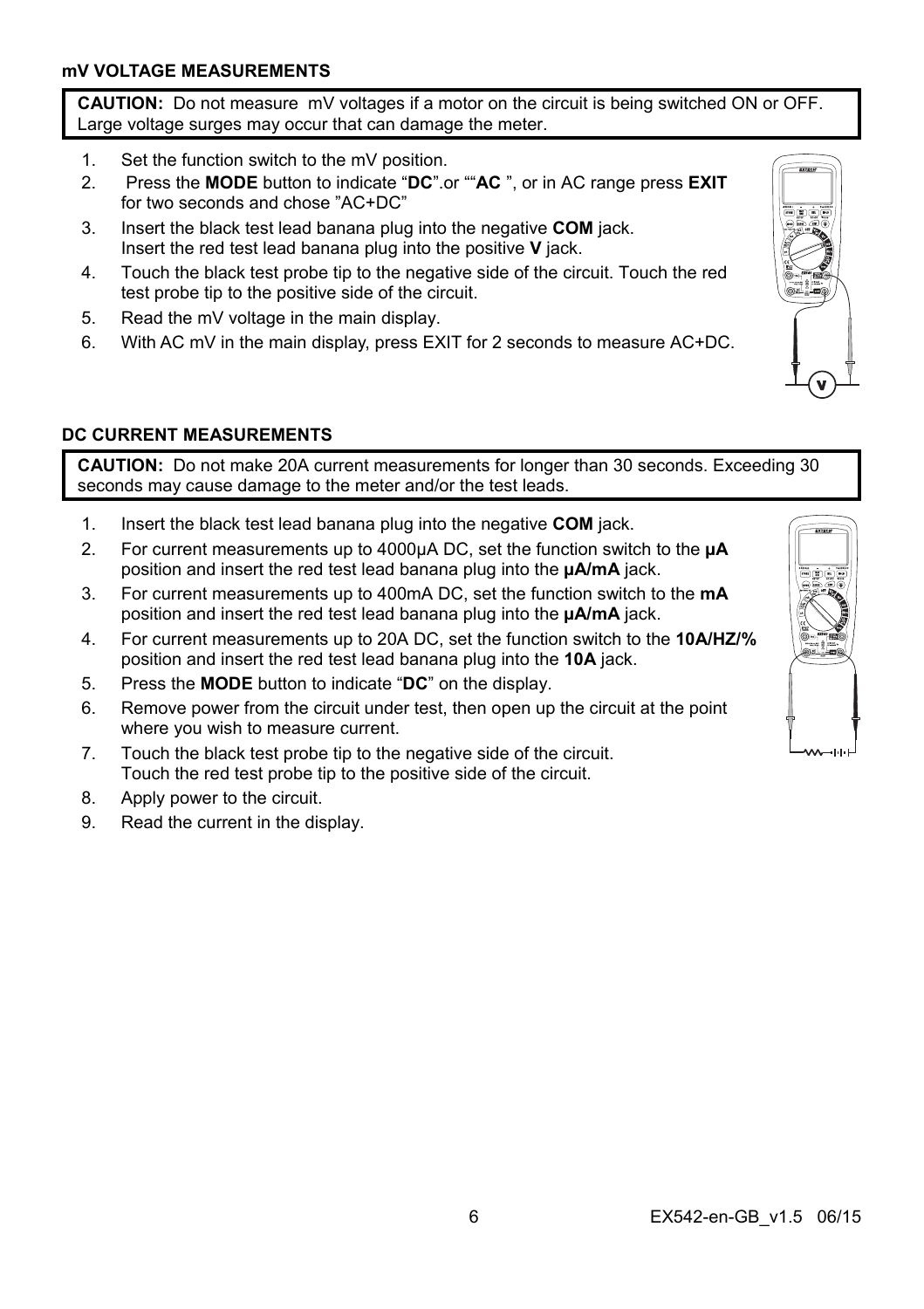**CAUTION:** Do not measure mV voltages if a motor on the circuit is being switched ON or OFF. Large voltage surges may occur that can damage the meter.

- 1. Set the function switch to the mV position.
- 2. Press the **MODE** button to indicate "**DC**".or ""**AC** ", or in AC range press **EXIT** for two seconds and chose "AC+DC"
- 3. Insert the black test lead banana plug into the negative **COM** jack. Insert the red test lead banana plug into the positive **V** jack.
- 4. Touch the black test probe tip to the negative side of the circuit. Touch the red test probe tip to the positive side of the circuit.
- 5. Read the mV voltage in the main display.
- 6. With AC mV in the main display, press EXIT for 2 seconds to measure AC+DC.



**CAUTION:** Do not make 20A current measurements for longer than 30 seconds. Exceeding 30 seconds may cause damage to the meter and/or the test leads.

- 1. Insert the black test lead banana plug into the negative **COM** jack.
- 2. For current measurements up to 4000µA DC, set the function switch to the **µA** position and insert the red test lead banana plug into the **µA/mA** jack.
- 3. For current measurements up to 400mA DC, set the function switch to the **mA** position and insert the red test lead banana plug into the **µA/mA** jack.
- 4. For current measurements up to 20A DC, set the function switch to the **10A/HZ/%** position and insert the red test lead banana plug into the **10A** jack.
- 5. Press the **MODE** button to indicate "**DC**" on the display.
- 6. Remove power from the circuit under test, then open up the circuit at the point where you wish to measure current.
- 7. Touch the black test probe tip to the negative side of the circuit. Touch the red test probe tip to the positive side of the circuit.
- 8. Apply power to the circuit.
- 9. Read the current in the display.



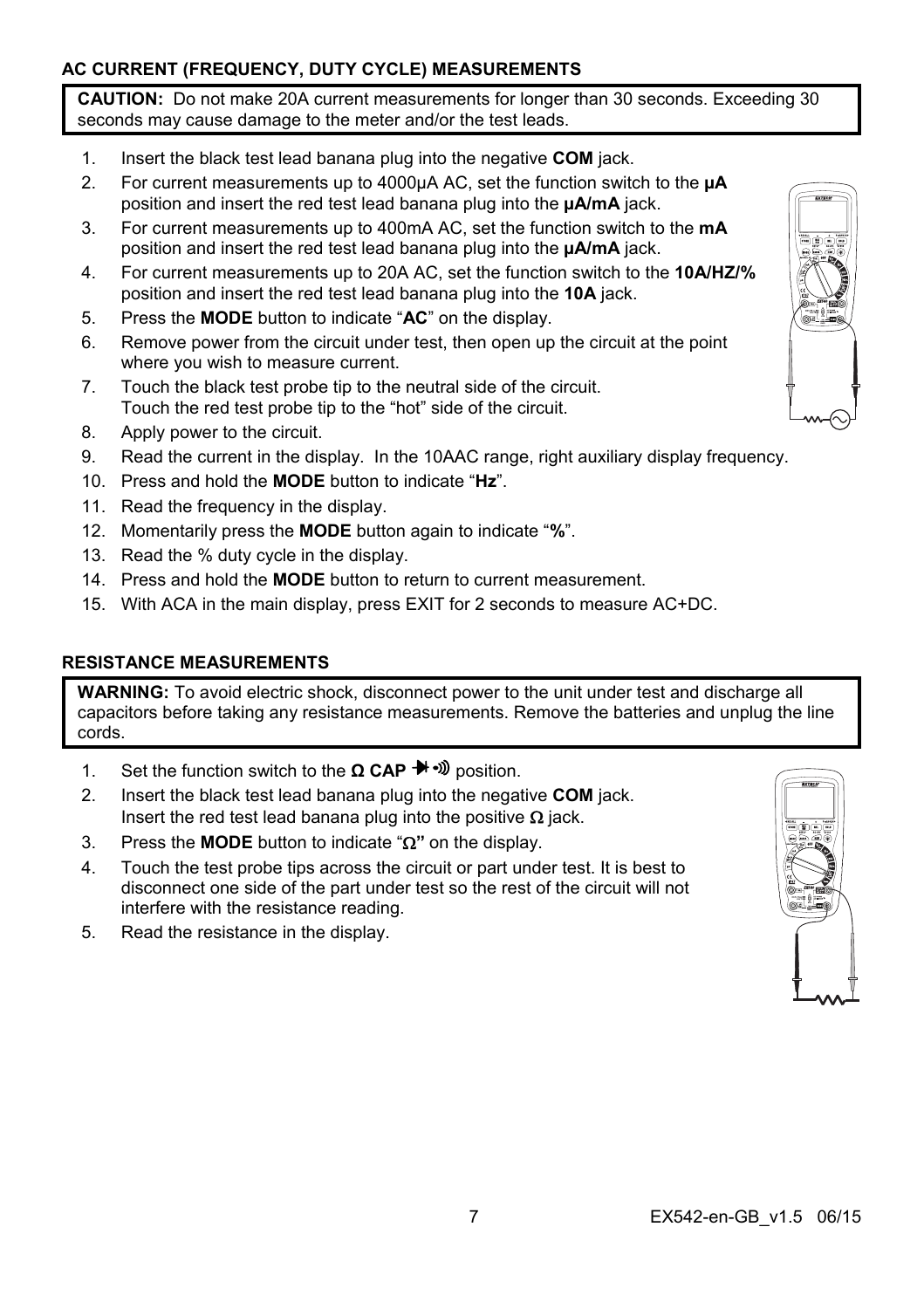## **AC CURRENT (FREQUENCY, DUTY CYCLE) MEASUREMENTS**

**CAUTION:** Do not make 20A current measurements for longer than 30 seconds. Exceeding 30 seconds may cause damage to the meter and/or the test leads.

- 1. Insert the black test lead banana plug into the negative **COM** jack.
- 2. For current measurements up to 4000µA AC, set the function switch to the **µA** position and insert the red test lead banana plug into the **µA/mA** jack.
- 3. For current measurements up to 400mA AC, set the function switch to the **mA** position and insert the red test lead banana plug into the **µA/mA** jack.
- 4. For current measurements up to 20A AC, set the function switch to the **10A/HZ/%** position and insert the red test lead banana plug into the **10A** jack.
- 5. Press the **MODE** button to indicate "**AC**" on the display.
- 6. Remove power from the circuit under test, then open up the circuit at the point where you wish to measure current.
- 7. Touch the black test probe tip to the neutral side of the circuit. Touch the red test probe tip to the "hot" side of the circuit.
- 8. Apply power to the circuit.
- 9. Read the current in the display. In the 10AAC range, right auxiliary display frequency.
- 10. Press and hold the **MODE** button to indicate "**Hz**".
- 11. Read the frequency in the display.
- 12. Momentarily press the **MODE** button again to indicate "**%**".
- 13. Read the % duty cycle in the display.
- 14. Press and hold the **MODE** button to return to current measurement.
- 15. With ACA in the main display, press EXIT for 2 seconds to measure AC+DC.

#### **RESISTANCE MEASUREMENTS**

**WARNING:** To avoid electric shock, disconnect power to the unit under test and discharge all capacitors before taking any resistance measurements. Remove the batteries and unplug the line cords.

- 1. Set the function switch to the **Ω CAP** → D position.
- 2. Insert the black test lead banana plug into the negative **COM** jack. Insert the red test lead banana plug into the positive  $\Omega$  jack.
- 3. Press the **MODE** button to indicate " $\Omega$ " on the display.
- 4. Touch the test probe tips across the circuit or part under test. It is best to disconnect one side of the part under test so the rest of the circuit will not interfere with the resistance reading.
- 5. Read the resistance in the display.

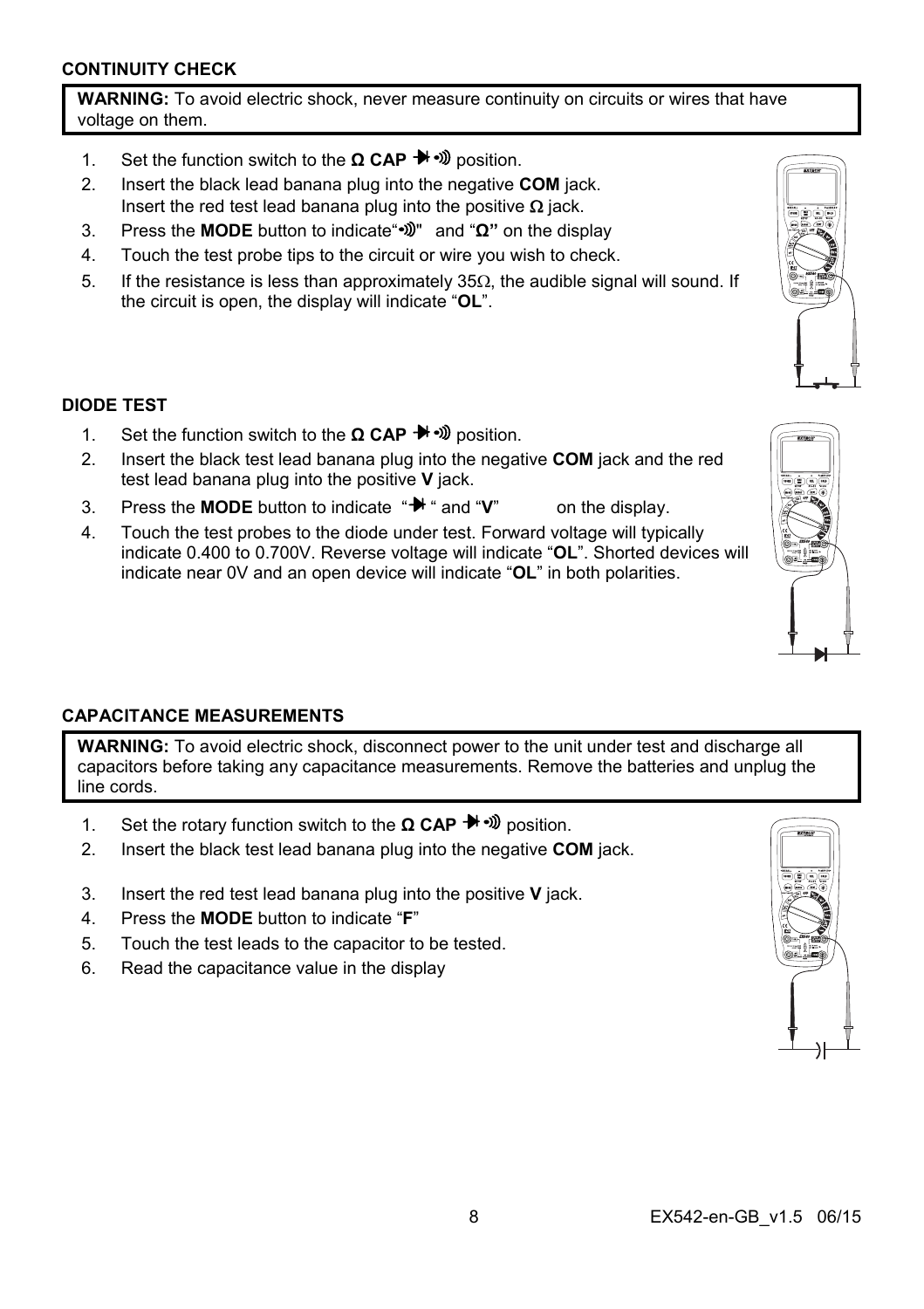#### **CONTINUITY CHECK**

**WARNING:** To avoid electric shock, never measure continuity on circuits or wires that have voltage on them.

- 1. Set the function switch to the **Ω CAP** → D position.
- 2. Insert the black lead banana plug into the negative **COM** jack. Insert the red test lead banana plug into the positive  $\Omega$  jack.
- 3. Press the **MODE** button to indicate" "and "**Ω"** on the display
- 4. Touch the test probe tips to the circuit or wire you wish to check.
- 5. If the resistance is less than approximately  $35\Omega$ , the audible signal will sound. If the circuit is open, the display will indicate "**OL**".

#### **DIODE TEST**

- 1. Set the function switch to the **Ω CAP** → Dosition.
- 2. Insert the black test lead banana plug into the negative **COM** jack and the red test lead banana plug into the positive **V** jack.
- 3. Press the **MODE** button to indicate " $\mathbb{H}$  " and "**V**" on the display.
- 4. Touch the test probes to the diode under test. Forward voltage will typically indicate 0.400 to 0.700V. Reverse voltage will indicate "**OL**". Shorted devices will indicate near 0V and an open device will indicate "**OL**" in both polarities.

#### **CAPACITANCE MEASUREMENTS**

WARNING: To avoid electric shock, disconnect power to the unit under test and discharge all capacitors before taking any capacitance measurements. Remove the batteries and unplug the line cords.

- 1. Set the rotary function switch to the **Ω CAP** → Dosition.
- 2. Insert the black test lead banana plug into the negative **COM** jack.
- 3. Insert the red test lead banana plug into the positive **V** jack.
- 4. Press the **MODE** button to indicate "**F**"
- 5. Touch the test leads to the capacitor to be tested.
- 6. Read the capacitance value in the display



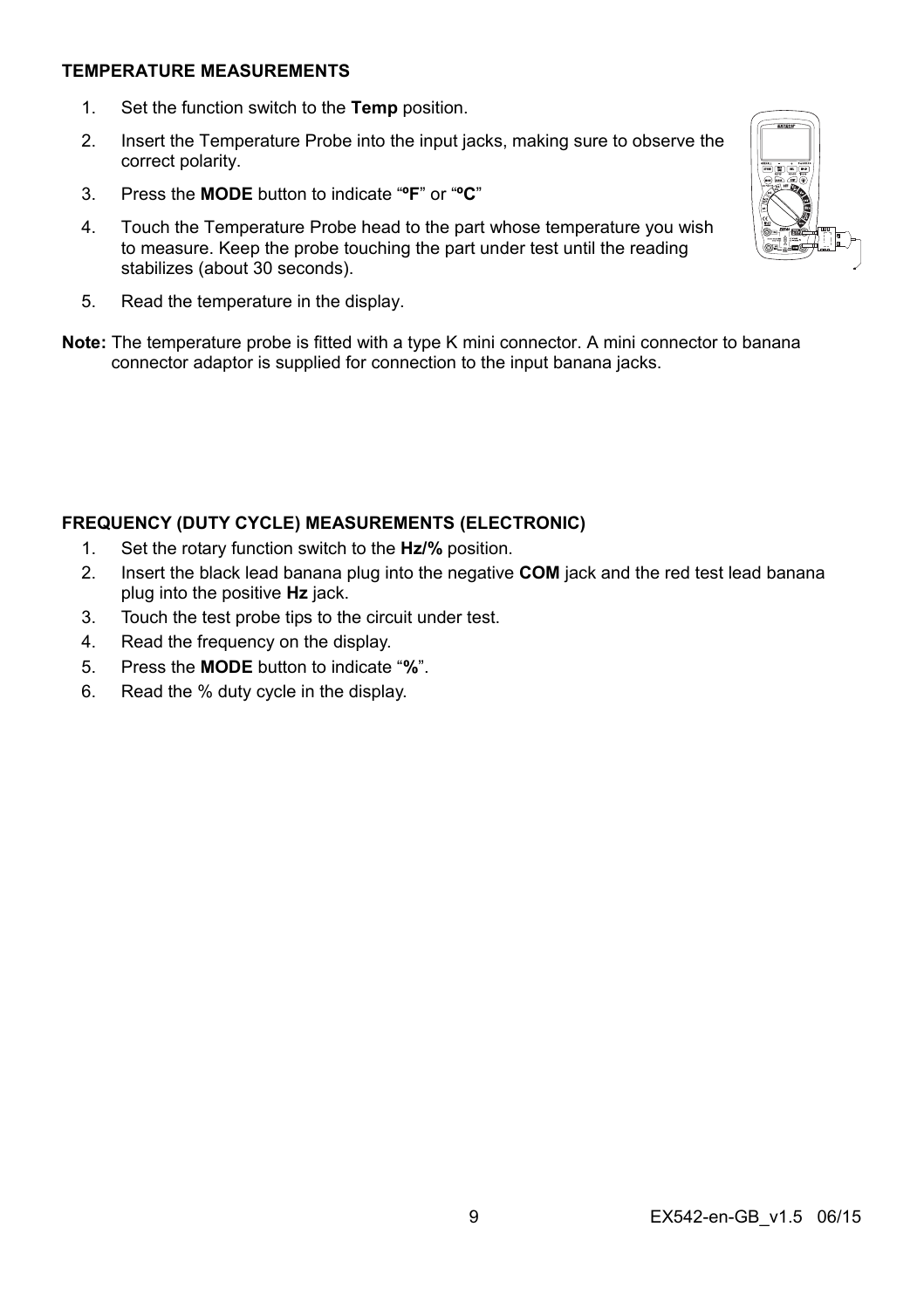#### **TEMPERATURE MEASUREMENTS**

- 1. Set the function switch to the **Temp** position.
- 2. Insert the Temperature Probe into the input jacks, making sure to observe the correct polarity.
- 3. Press the **MODE** button to indicate "**ºF**" or "**ºC**"
- 4. Touch the Temperature Probe head to the part whose temperature you wish to measure. Keep the probe touching the part under test until the reading stabilizes (about 30 seconds).
- 5. Read the temperature in the display.
- **Note:** The temperature probe is fitted with a type K mini connector. A mini connector to banana connector adaptor is supplied for connection to the input banana jacks.

#### **FREQUENCY (DUTY CYCLE) MEASUREMENTS (ELECTRONIC)**

- 1. Set the rotary function switch to the **Hz/%** position.
- 2. Insert the black lead banana plug into the negative **COM** jack and the red test lead banana plug into the positive **Hz** jack.
- 3. Touch the test probe tips to the circuit under test.
- 4. Read the frequency on the display.
- 5. Press the **MODE** button to indicate "**%**".
- 6. Read the % duty cycle in the display.

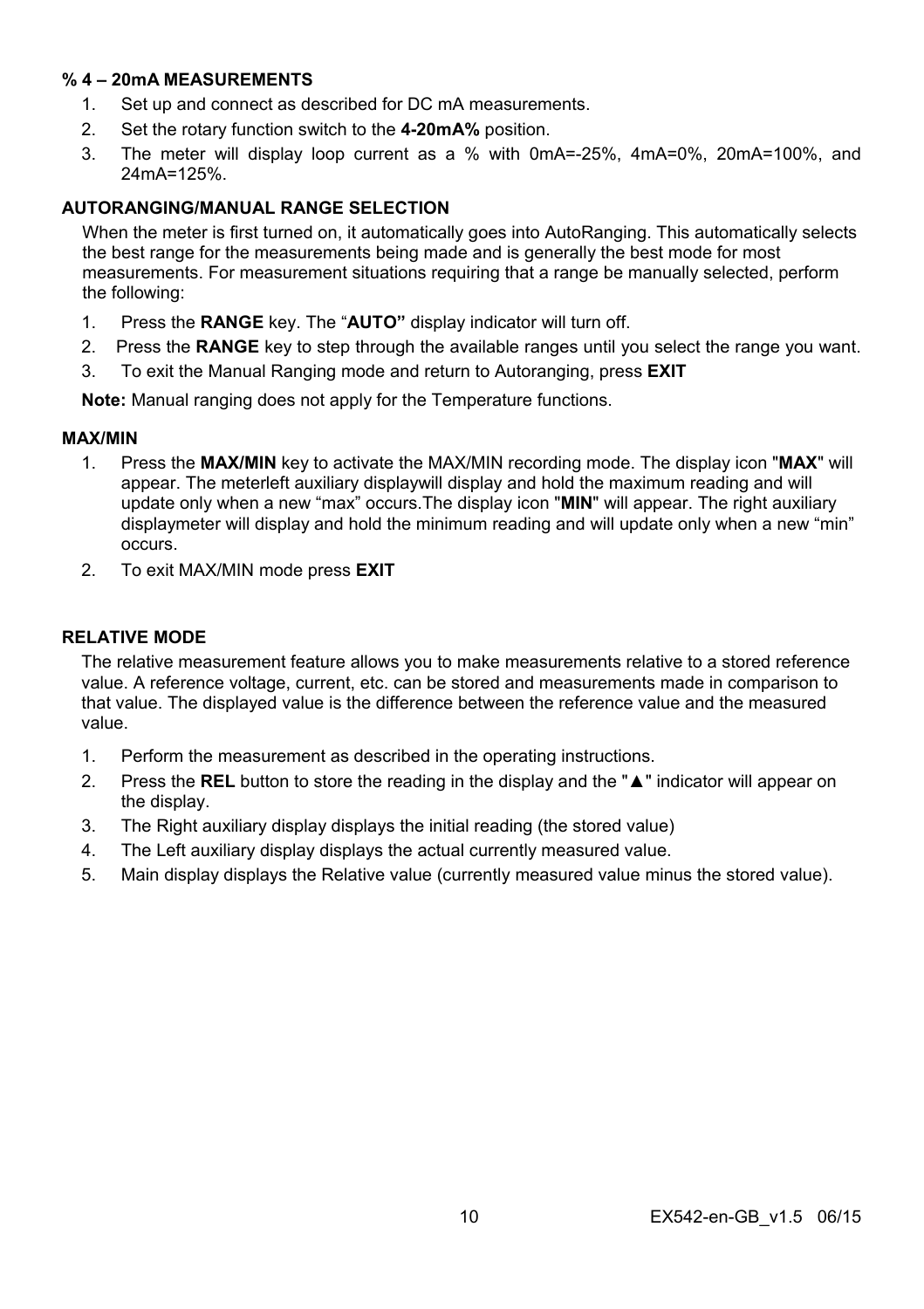#### **% 4 – 20mA MEASUREMENTS**

- 1. Set up and connect as described for DC mA measurements.
- 2. Set the rotary function switch to the **4-20mA%** position.
- 3. The meter will display loop current as a % with 0mA=-25%, 4mA=0%, 20mA=100%, and 24mA=125%.

#### **AUTORANGING/MANUAL RANGE SELECTION**

When the meter is first turned on, it automatically goes into AutoRanging. This automatically selects the best range for the measurements being made and is generally the best mode for most measurements. For measurement situations requiring that a range be manually selected, perform the following:

- 1. Press the **RANGE** key. The "**AUTO"** display indicator will turn off.
- 2. Press the **RANGE** key to step through the available ranges until you select the range you want.
- 3. To exit the Manual Ranging mode and return to Autoranging, press **EXIT**

**Note:** Manual ranging does not apply for the Temperature functions.

#### **MAX/MIN**

- 1. Press the **MAX/MIN** key to activate the MAX/MIN recording mode. The display icon "**MAX**" will appear. The meterleft auxiliary displaywill display and hold the maximum reading and will update only when a new "max" occurs.The display icon "**MIN**" will appear. The right auxiliary displaymeter will display and hold the minimum reading and will update only when a new "min" occurs.
- 2. To exit MAX/MIN mode press **EXIT**

#### **RELATIVE MODE**

The relative measurement feature allows you to make measurements relative to a stored reference value. A reference voltage, current, etc. can be stored and measurements made in comparison to that value. The displayed value is the difference between the reference value and the measured value.

- 1. Perform the measurement as described in the operating instructions.
- 2. Press the **REL** button to store the reading in the display and the "**▲**" indicator will appear on the display.
- 3. The Right auxiliary display displays the initial reading (the stored value)
- 4. The Left auxiliary display displays the actual currently measured value.
- 5. Main display displays the Relative value (currently measured value minus the stored value).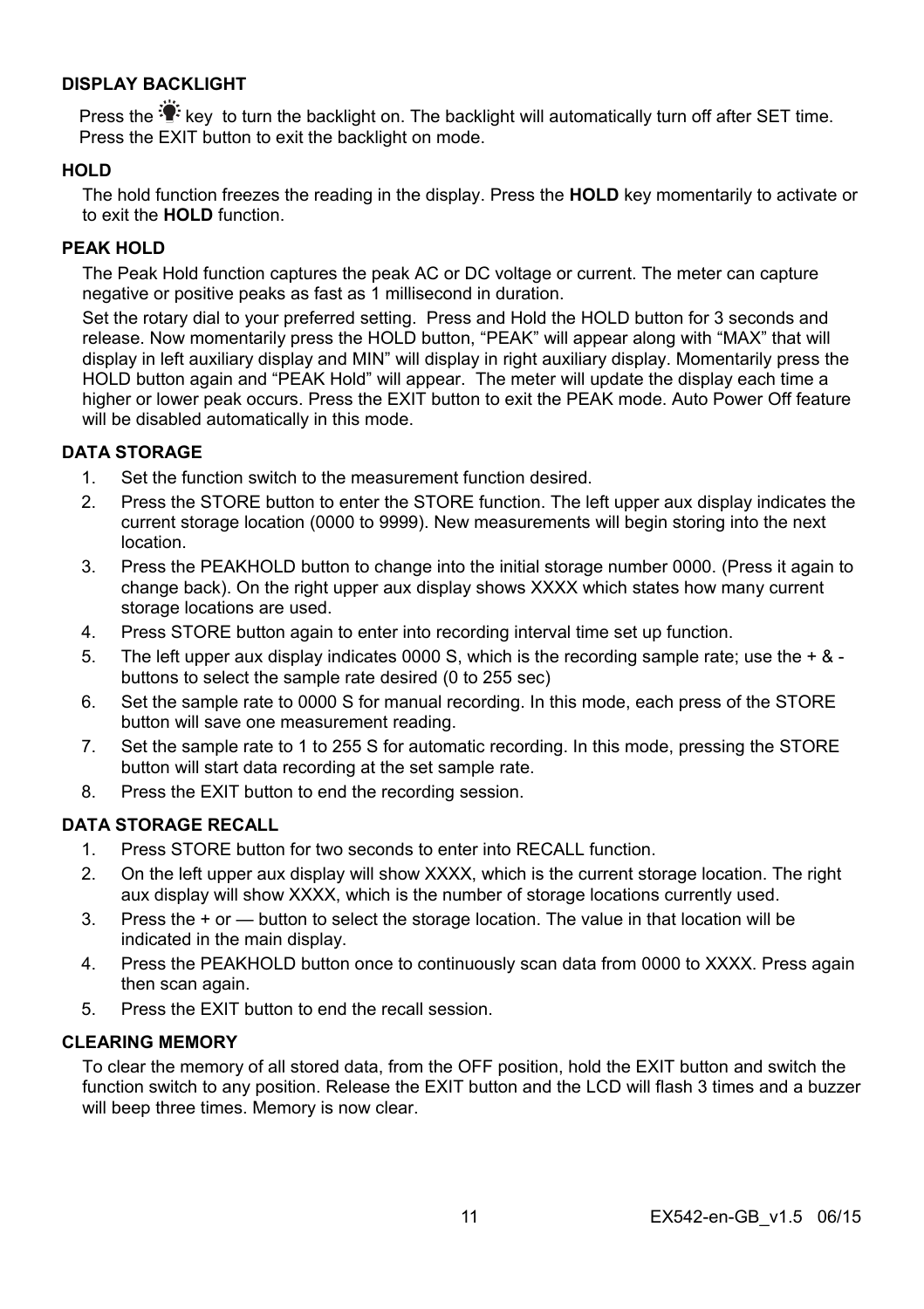#### **DISPLAY BACKLIGHT**

Press the <sup>to</sup> key to turn the backlight on. The backlight will automatically turn off after SET time. Press the EXIT button to exit the backlight on mode.

#### **HOLD**

The hold function freezes the reading in the display. Press the **HOLD** key momentarily to activate or to exit the **HOLD** function.

#### **PEAK HOLD**

The Peak Hold function captures the peak AC or DC voltage or current. The meter can capture negative or positive peaks as fast as 1 millisecond in duration.

Set the rotary dial to your preferred setting. Press and Hold the HOLD button for 3 seconds and release. Now momentarily press the HOLD button, "PEAK" will appear along with "MAX" that will display in left auxiliary display and MIN" will display in right auxiliary display. Momentarily press the HOLD button again and "PEAK Hold" will appear. The meter will update the display each time a higher or lower peak occurs. Press the EXIT button to exit the PEAK mode. Auto Power Off feature will be disabled automatically in this mode.

#### **DATA STORAGE**

- 1. Set the function switch to the measurement function desired.
- 2. Press the STORE button to enter the STORE function. The left upper aux display indicates the current storage location (0000 to 9999). New measurements will begin storing into the next location.
- 3. Press the PEAKHOLD button to change into the initial storage number 0000. (Press it again to change back). On the right upper aux display shows XXXX which states how many current storage locations are used.
- 4. Press STORE button again to enter into recording interval time set up function.
- 5. The left upper aux display indicates 0000 S, which is the recording sample rate; use the  $+ 8 5$ buttons to select the sample rate desired (0 to 255 sec)
- 6. Set the sample rate to 0000 S for manual recording. In this mode, each press of the STORE button will save one measurement reading.
- 7. Set the sample rate to 1 to 255 S for automatic recording. In this mode, pressing the STORE button will start data recording at the set sample rate.
- 8. Press the EXIT button to end the recording session.

#### **DATA STORAGE RECALL**

- 1. Press STORE button for two seconds to enter into RECALL function.
- 2. On the left upper aux display will show XXXX, which is the current storage location. The right aux display will show XXXX, which is the number of storage locations currently used.
- 3. Press the + or button to select the storage location. The value in that location will be indicated in the main display.
- 4. Press the PEAKHOLD button once to continuously scan data from 0000 to XXXX. Press again then scan again.
- 5. Press the EXIT button to end the recall session.

#### **CLEARING MEMORY**

To clear the memory of all stored data, from the OFF position, hold the EXIT button and switch the function switch to any position. Release the EXIT button and the LCD will flash 3 times and a buzzer will beep three times. Memory is now clear.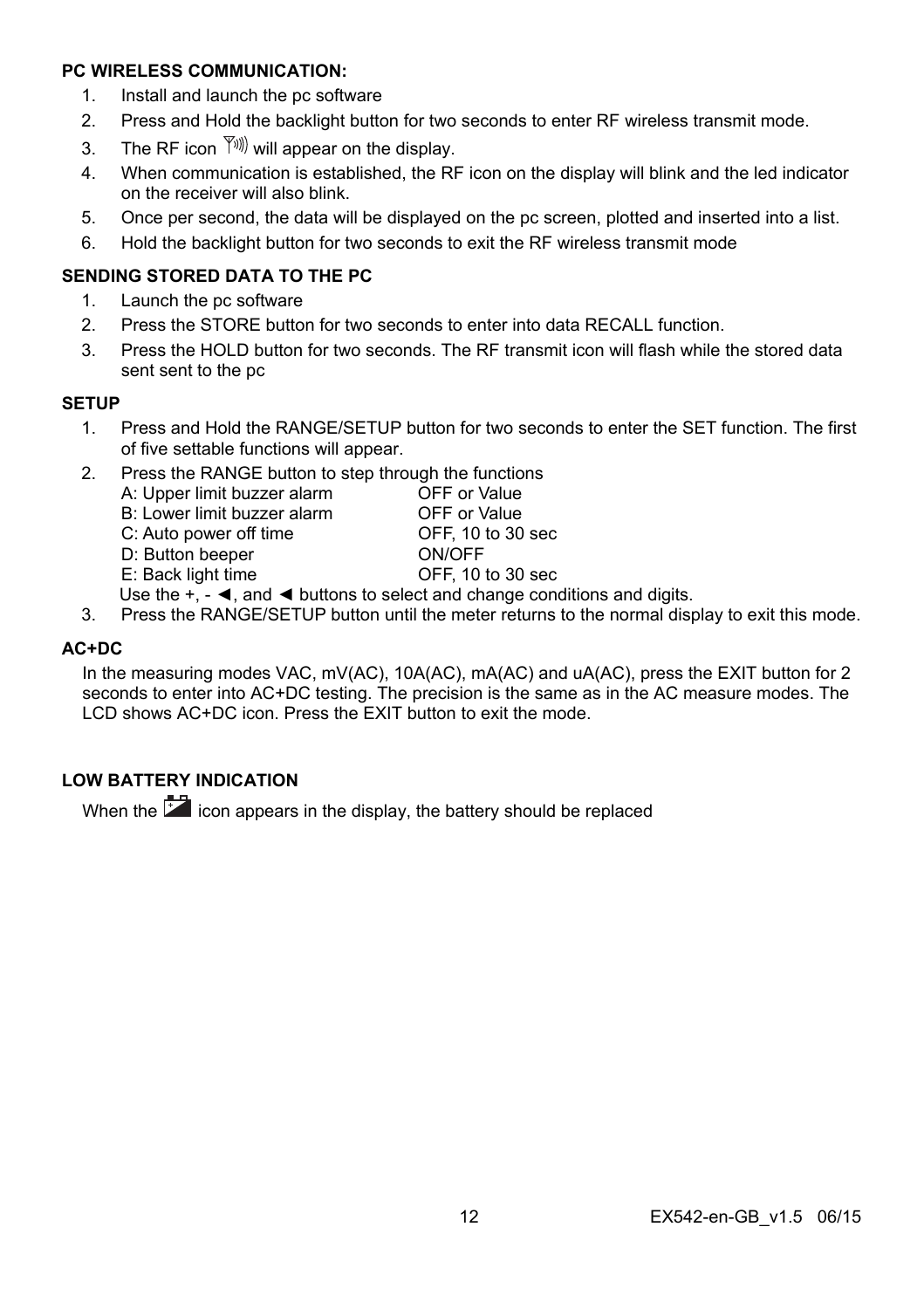#### **PC WIRELESS COMMUNICATION:**

- 1. Install and launch the pc software
- 2. Press and Hold the backlight button for two seconds to enter RF wireless transmit mode.
- 3. The RF icon  $\langle \hat{Y}^{(0)} \rangle$  will appear on the display.
- 4. When communication is established, the RF icon on the display will blink and the led indicator on the receiver will also blink.
- 5. Once per second, the data will be displayed on the pc screen, plotted and inserted into a list.
- 6. Hold the backlight button for two seconds to exit the RF wireless transmit mode

#### **SENDING STORED DATA TO THE PC**

- 1. Launch the pc software
- 2. Press the STORE button for two seconds to enter into data RECALL function.
- 3. Press the HOLD button for two seconds. The RF transmit icon will flash while the stored data sent sent to the pc

#### **SETUP**

- 1. Press and Hold the RANGE/SETUP button for two seconds to enter the SET function. The first of five settable functions will appear.
- 2. Press the RANGE button to step through the functions A: Upper limit buzzer alarm OFF or Value<br>B: Lower limit buzzer alarm OFF or Value B: Lower limit buzzer alarm OFF or Value<br>C: Auto power off time CFF. 10 to 30 sec C: Auto power off time D: Button beeper ON/OFF E: Back light time OFF, 10 to 30 sec
	- Use the  $+$ ,  $\blacktriangleleft$ , and  $\blacktriangleleft$  buttons to select and change conditions and digits.
- 3. Press the RANGE/SETUP button until the meter returns to the normal display to exit this mode.

#### **AC+DC**

In the measuring modes VAC, mV(AC), 10A(AC), mA(AC) and uA(AC), press the EXIT button for 2 seconds to enter into AC+DC testing. The precision is the same as in the AC measure modes. The LCD shows AC+DC icon. Press the EXIT button to exit the mode.

## **LOW BATTERY INDICATION**

When the **ind** icon appears in the display, the battery should be replaced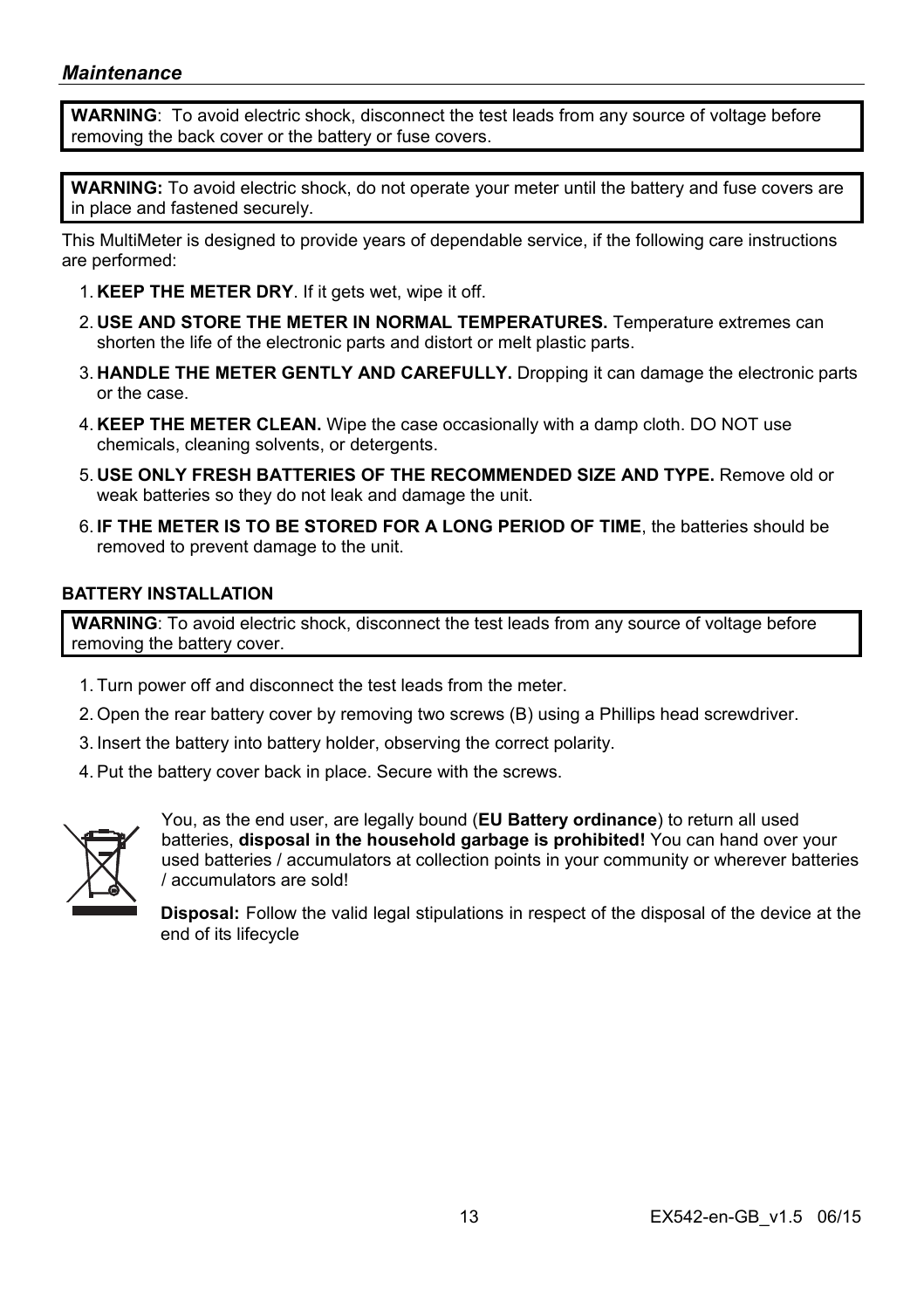**WARNING**: To avoid electric shock, disconnect the test leads from any source of voltage before removing the back cover or the battery or fuse covers.

**WARNING:** To avoid electric shock, do not operate your meter until the battery and fuse covers are in place and fastened securely.

This MultiMeter is designed to provide years of dependable service, if the following care instructions are performed:

- 1. **KEEP THE METER DRY**. If it gets wet, wipe it off.
- 2. **USE AND STORE THE METER IN NORMAL TEMPERATURES.** Temperature extremes can shorten the life of the electronic parts and distort or melt plastic parts.
- 3. **HANDLE THE METER GENTLY AND CAREFULLY.** Dropping it can damage the electronic parts or the case.
- 4. **KEEP THE METER CLEAN.** Wipe the case occasionally with a damp cloth. DO NOT use chemicals, cleaning solvents, or detergents.
- 5. **USE ONLY FRESH BATTERIES OF THE RECOMMENDED SIZE AND TYPE.** Remove old or weak batteries so they do not leak and damage the unit.
- 6. **IF THE METER IS TO BE STORED FOR A LONG PERIOD OF TIME**, the batteries should be removed to prevent damage to the unit.

#### **BATTERY INSTALLATION**

**WARNING**: To avoid electric shock, disconnect the test leads from any source of voltage before removing the battery cover.

- 1. Turn power off and disconnect the test leads from the meter.
- 2. Open the rear battery cover by removing two screws (B) using a Phillips head screwdriver.
- 3. Insert the battery into battery holder, observing the correct polarity.
- 4. Put the battery cover back in place. Secure with the screws.



You, as the end user, are legally bound (**EU Battery ordinance**) to return all used batteries, **disposal in the household garbage is prohibited!** You can hand over your used batteries / accumulators at collection points in your community or wherever batteries / accumulators are sold!

**Disposal:** Follow the valid legal stipulations in respect of the disposal of the device at the end of its lifecycle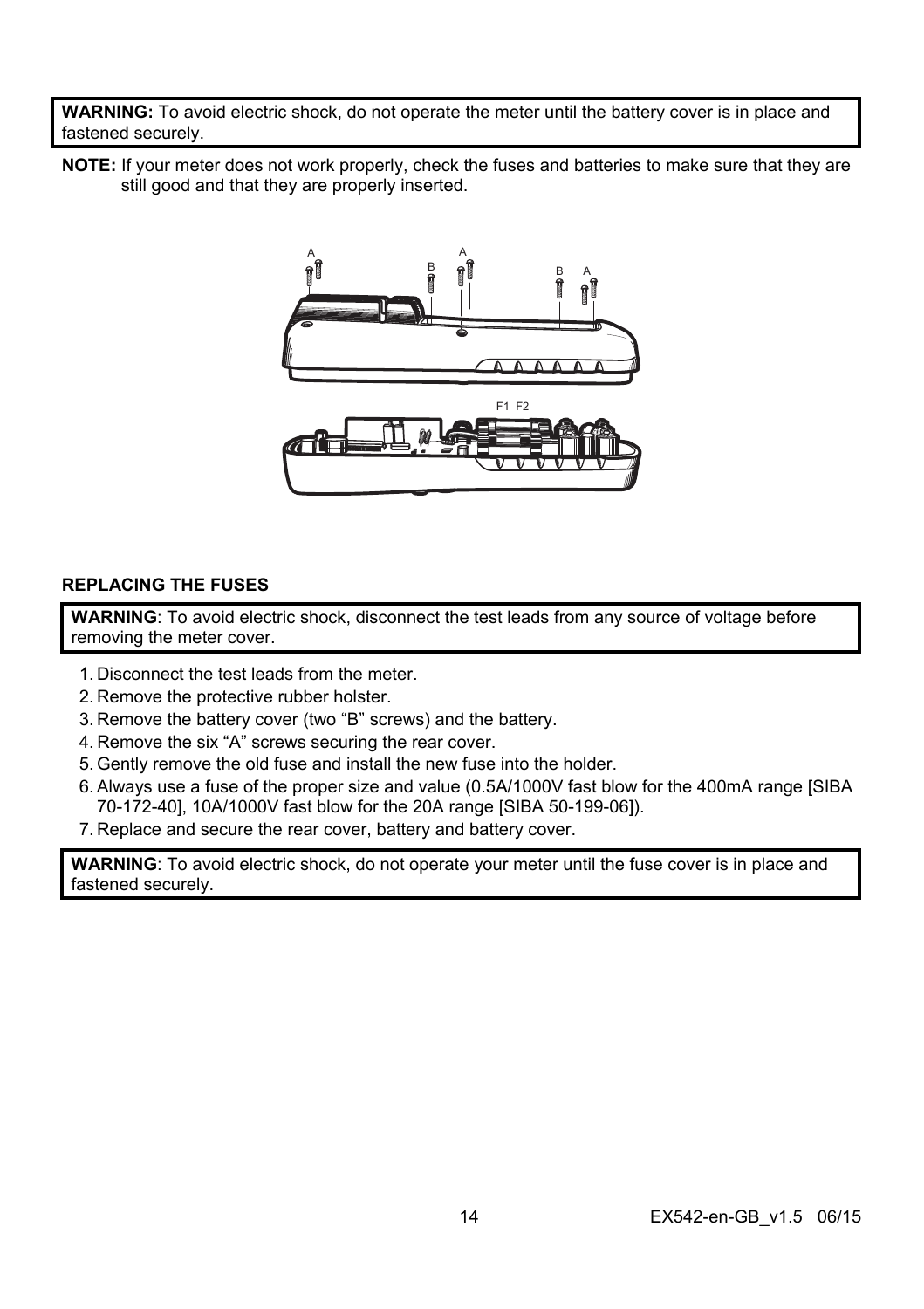**WARNING:** To avoid electric shock, do not operate the meter until the battery cover is in place and fastened securely.

**NOTE:** If your meter does not work properly, check the fuses and batteries to make sure that they are still good and that they are properly inserted.



#### **REPLACING THE FUSES**

**WARNING**: To avoid electric shock, disconnect the test leads from any source of voltage before removing the meter cover.

- 1. Disconnect the test leads from the meter.
- 2. Remove the protective rubber holster.
- 3. Remove the battery cover (two "B" screws) and the battery.
- 4. Remove the six "A" screws securing the rear cover.
- 5. Gently remove the old fuse and install the new fuse into the holder.
- 6. Always use a fuse of the proper size and value (0.5A/1000V fast blow for the 400mA range [SIBA 70-172-40], 10A/1000V fast blow for the 20A range [SIBA 50-199-06]).
- 7. Replace and secure the rear cover, battery and battery cover.

**WARNING**: To avoid electric shock, do not operate your meter until the fuse cover is in place and fastened securely.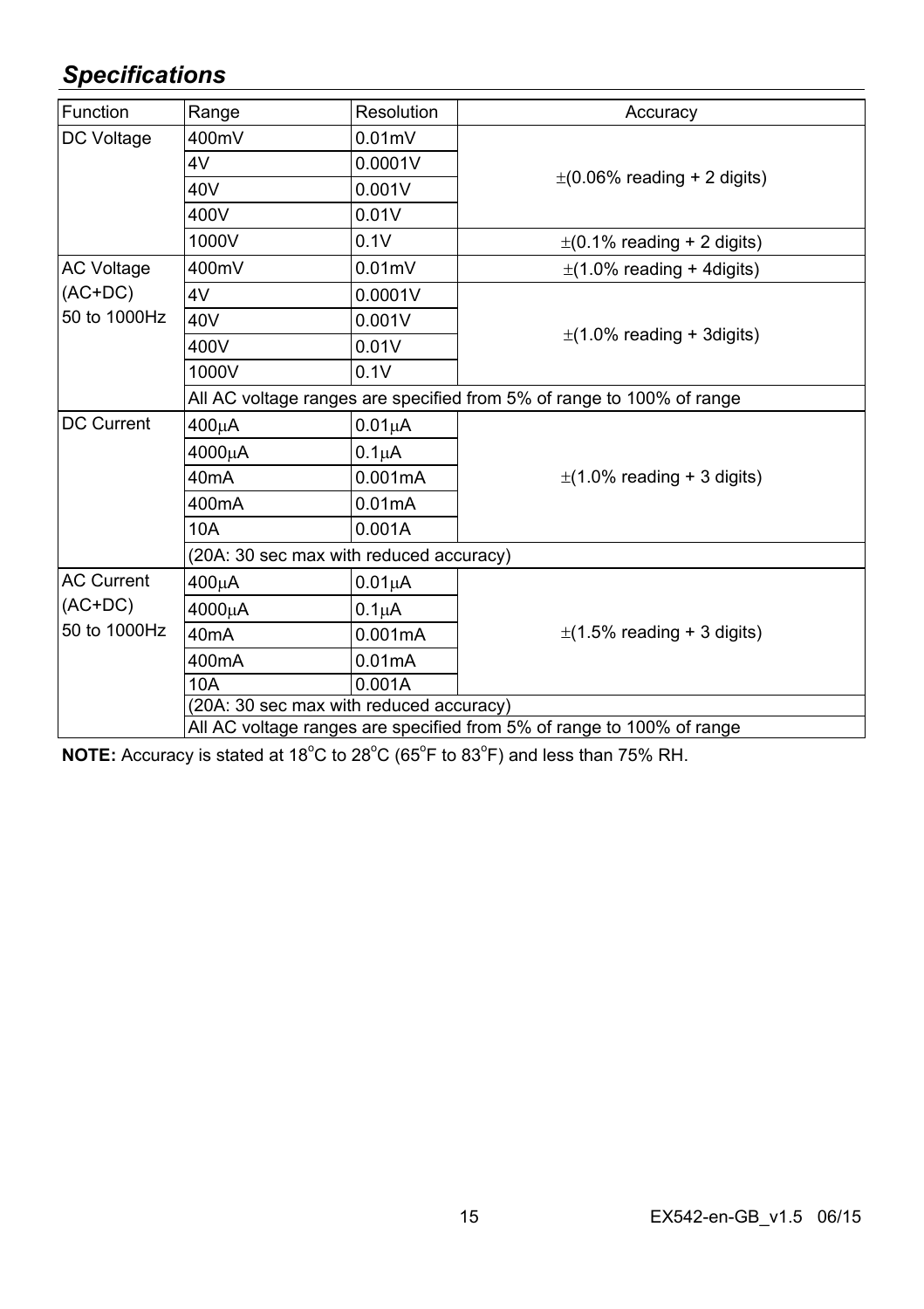# *Specifications*

| <b>Function</b>                                | Range                                                                 | Resolution                                                            | Accuracy                         |  |
|------------------------------------------------|-----------------------------------------------------------------------|-----------------------------------------------------------------------|----------------------------------|--|
| DC Voltage                                     | 400mV                                                                 | $0.01$ m $V$                                                          |                                  |  |
|                                                | 4V                                                                    | 0.0001V                                                               |                                  |  |
|                                                | 40V                                                                   | 0.001V                                                                | $\pm$ (0.06% reading + 2 digits) |  |
|                                                | 400V                                                                  | 0.01V                                                                 |                                  |  |
|                                                | 1000V                                                                 | 0.1V                                                                  | $\pm$ (0.1% reading + 2 digits)  |  |
| <b>AC Voltage</b>                              | 400mV                                                                 | $0.01$ m $V$                                                          | $\pm$ (1.0% reading + 4digits)   |  |
| $(AC+DC)$                                      | 4V                                                                    | 0.0001V                                                               |                                  |  |
| 50 to 1000Hz                                   | 40V                                                                   | 0.001V                                                                |                                  |  |
|                                                | 400V                                                                  | 0.01V                                                                 | $\pm$ (1.0% reading + 3digits)   |  |
|                                                | 1000V                                                                 | 0.1V                                                                  |                                  |  |
|                                                |                                                                       | All AC voltage ranges are specified from 5% of range to 100% of range |                                  |  |
| <b>DC Current</b>                              | 400μA                                                                 | $0.01\mu A$                                                           |                                  |  |
|                                                | 4000μA                                                                | $0.1\mu$ A                                                            |                                  |  |
|                                                | 40 <sub>m</sub> A                                                     | 0.001mA                                                               | $\pm$ (1.0% reading + 3 digits)  |  |
|                                                | 400mA                                                                 | 0.01mA                                                                |                                  |  |
|                                                | 10A                                                                   | 0.001A                                                                |                                  |  |
|                                                | (20A: 30 sec max with reduced accuracy)                               |                                                                       |                                  |  |
| <b>AC Current</b><br>$(AC+DC)$<br>50 to 1000Hz | 400μA                                                                 | 0.01 <sub>µ</sub> A                                                   | $\pm$ (1.5% reading + 3 digits)  |  |
|                                                | 4000μA                                                                | $0.1\muA$                                                             |                                  |  |
|                                                | 40 <sub>m</sub> A                                                     | 0.001mA                                                               |                                  |  |
|                                                | 400 <sub>m</sub> A                                                    | 0.01mA                                                                |                                  |  |
|                                                | 10A                                                                   | 0.001A                                                                |                                  |  |
|                                                | (20A: 30 sec max with reduced accuracy)                               |                                                                       |                                  |  |
|                                                | All AC voltage ranges are specified from 5% of range to 100% of range |                                                                       |                                  |  |

NOTE: Accuracy is stated at 18<sup>°</sup>C to 28<sup>°</sup>C (65<sup>°</sup>F to 83<sup>°</sup>F) and less than 75% RH.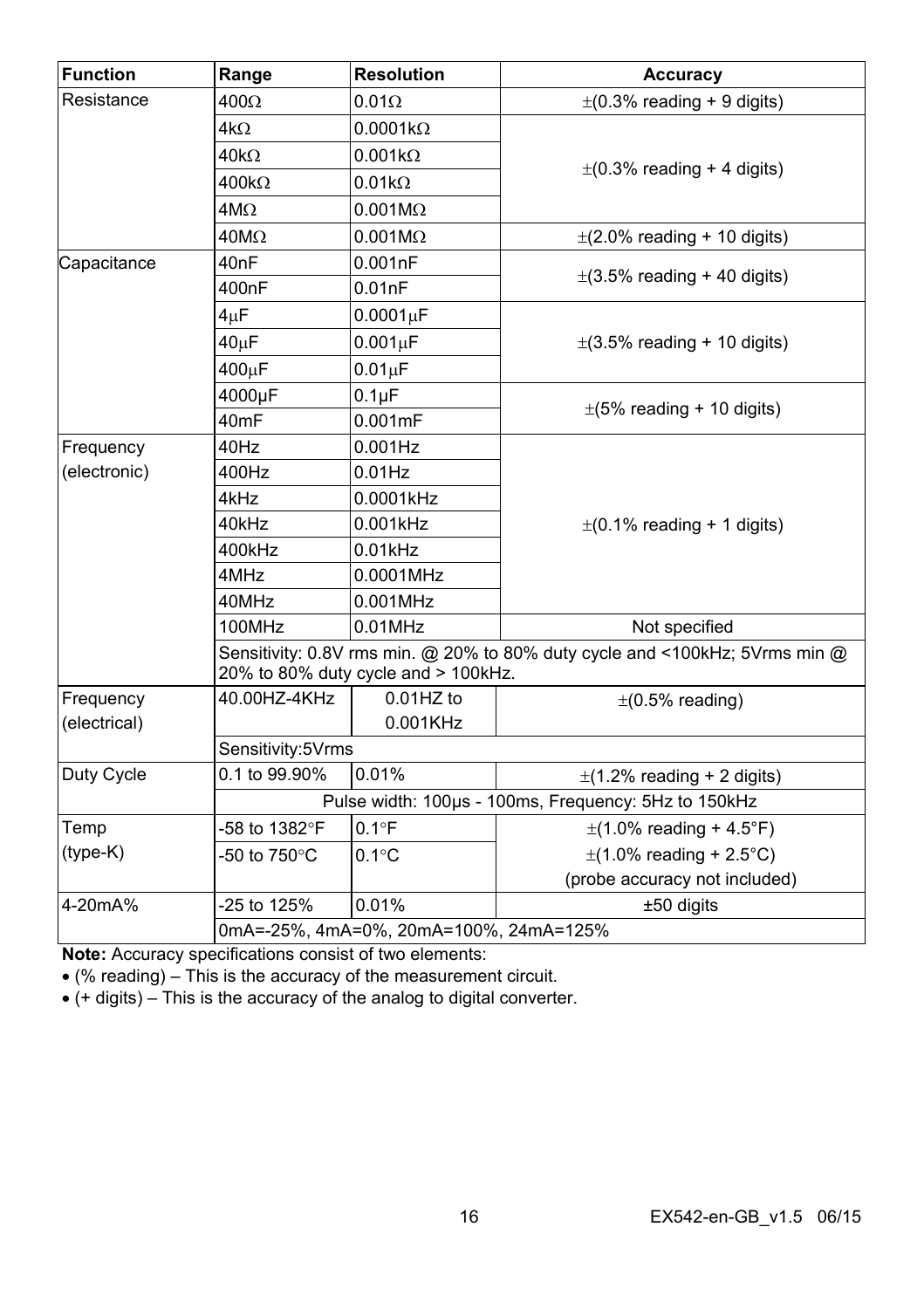| <b>Function</b> | Range             | <b>Resolution</b>                      | Accuracy                                                                    |
|-----------------|-------------------|----------------------------------------|-----------------------------------------------------------------------------|
| Resistance      | $400\Omega$       | $0.01\Omega$                           | $\pm$ (0.3% reading + 9 digits)                                             |
|                 | $4k\Omega$        | $0.0001k\Omega$                        |                                                                             |
|                 | $40k\Omega$       | $0.001k\Omega$                         |                                                                             |
|                 | $400k\Omega$      | $0.01k\Omega$                          | $\pm$ (0.3% reading + 4 digits)                                             |
|                 | $4M\Omega$        | $0.001M\Omega$                         |                                                                             |
|                 | $40M\Omega$       | $0.001M\Omega$                         | $\pm$ (2.0% reading + 10 digits)                                            |
| Capacitance     | 40nF              | 0.001nF                                |                                                                             |
|                 | 400nF             | 0.01nF                                 | $\pm$ (3.5% reading + 40 digits)                                            |
|                 | $4\mu F$          | 0.0001 <sub>µ</sub> F                  |                                                                             |
|                 | $40\mu F$         | $0.001\mu F$                           | $\pm$ (3.5% reading + 10 digits)                                            |
|                 | 400µF             | $0.01 \mu F$                           |                                                                             |
|                 | 4000µF            | $0.1\mu F$                             |                                                                             |
|                 | 40 <sub>mF</sub>  | 0.001mF                                | $\pm$ (5% reading + 10 digits)                                              |
| Frequency       | 40Hz              | $0.001$ Hz                             |                                                                             |
| (electronic)    | 400Hz             | $0.01$ Hz                              |                                                                             |
|                 | 4kHz              | 0.0001kHz                              |                                                                             |
|                 | 40kHz             | 0.001kHz                               | $\pm$ (0.1% reading + 1 digits)                                             |
|                 | 400kHz            | $0.01$ kHz                             |                                                                             |
|                 | 4MHz              | 0.0001MHz                              |                                                                             |
|                 | 40MHz             | 0.001MHz                               |                                                                             |
|                 | 100MHz            | $0.01$ MHz                             | Not specified                                                               |
|                 |                   | 20% to 80% duty cycle and > 100kHz.    | Sensitivity: 0.8V rms min. @ 20% to 80% duty cycle and <100kHz; 5Vrms min @ |
| Frequency       | 40.00HZ-4KHz      | $0.01$ HZ to                           | $\pm$ (0.5% reading)                                                        |
| (electrical)    |                   | 0.001KHz                               |                                                                             |
|                 | Sensitivity:5Vrms |                                        |                                                                             |
| Duty Cycle      | 0.1 to 99.90%     | 0.01%                                  | $\pm$ (1.2% reading + 2 digits)                                             |
|                 |                   |                                        | Pulse width: 100µs - 100ms, Frequency: 5Hz to 150kHz                        |
| Temp            | -58 to 1382°F     | $0.1^{\circ}F$                         | $\pm$ (1.0% reading + 4.5°F)                                                |
| $(type-K)$      | -50 to 750°C      | $0.1^{\circ}$ C                        | $\pm$ (1.0% reading + 2.5°C)                                                |
|                 |                   |                                        | (probe accuracy not included)                                               |
| 4-20mA%         | -25 to 125%       | 0.01%                                  | ±50 digits                                                                  |
|                 |                   | 0mA=-25%, 4mA=0%, 20mA=100%, 24mA=125% |                                                                             |

**Note:** Accuracy specifications consist of two elements:

(% reading) – This is the accuracy of the measurement circuit.

(+ digits) – This is the accuracy of the analog to digital converter.